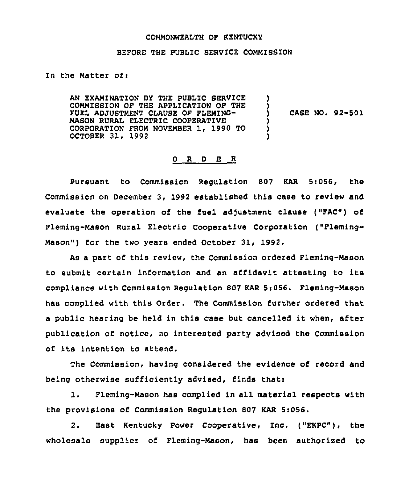#### COMMONWEALTH OF KENTUCKY

#### BEFORE THE PUBLIC SERVICE COMMISSION

In the Matter of:

AN EXAMINATION BY THE PUBLIC SERVICE COMMISSION OF THE APPLICATION OF THE FUEL ADJUSTMENT CLAUSE OF FLEMING-MASON RURAL ELECTRIC COOPERATIVE CORPORATION FROM NOVEMBER 1, 1990 TO OCTOBER 31, 1992 ) ) CASE NO. 92-501 ) ) )

## 0 R <sup>D</sup> E R

Pursuant to Commission Requlation 807 KAR 5:056, the Commission on December 3, 1992 established this case to review and evaluate the operation of the fuel adjustment clause ("FAC") of Fleming-Mason Rural Electric Cooperative Corporation ("Fleming-Mason") for the two years ended October 31, 1992.

As a part of this review, the Commission ordered Fleming-Mason to submit certain information and an affidavit attesting to its compliance with Commission Regulation 807 KAR 5:056. Fleming-Mason has complied with this Order. The Commission further ordered that <sup>a</sup> public hearing be held in this case but cancelled it when, after publication of notice, no interested party advised the Commission of its intention to attend.

The Commission, having considered the evidence of record and being otherwise sufficiently advised, finds that:

1. Fleming-Mason has complied in all material respects with the provisions of Commission Regulation 807 KAR 5i056.

2. East Kentucky Power Cooperative, Inc. ("EKPC"), the wholesale supplier of Fleming-Mason, has been authorised to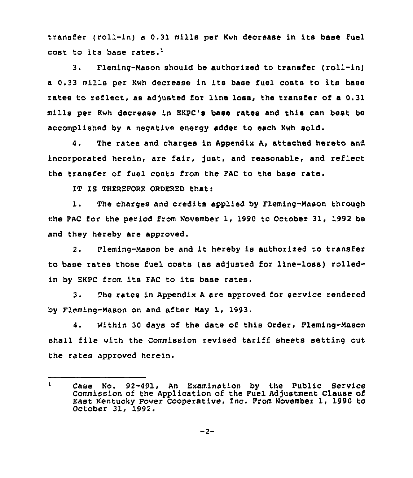transfer (roll-in) <sup>a</sup> 0.31 mills per Kwh decrease in its base fuel cost to its base rates.'.

 $3<sub>1</sub>$ Fleming-Mason should be authorised to transfer (roll-in) <sup>a</sup> 0.33 mills per Kwh decrease in its base fuel costs to its base rates to reflect, as adjusted for line loss, the transfer of a 0.31 mills per Kwh decrease in EKPC's base rates and this can best be accomplished by a negative energy adder to each Kwh sold.

4. The rates and charges in Appendix A, attached hereto and incorporated herein, are fair, just, and reasonable, and reflect the transfer of fuel costs from the FAC to the base rate.

1T IS THEREFORE ORDERED that:

1. The charges and credits applied by Fleming-Mason through the FAC for the period from November 1, 1990 to October 31, 1992 be and they hereby are approved.

2. Fleming-Mason be and it hereby is authorized to transfer to base rates those fuel costs (as adjusted for line-loss) rolledin by EKPC from its FAC to its base rates.

3. The rates in Appendix <sup>A</sup> are approved for service rendered by Fleming-Mason on and after May 1, 1993.

4. Within 30 days of the date of this Order, Fleming-Mason shall file with the Commission revised tariff sheets setting out the rates approved herein.

 $\mathbf{1}$ Case No. 92-491, An Examination by the Public Service Commission of the Application of the Fuel Adjustment Clause of East Kentucky Power Cooperative, Inc. Prom November 1, 1990 to October 31, 1992.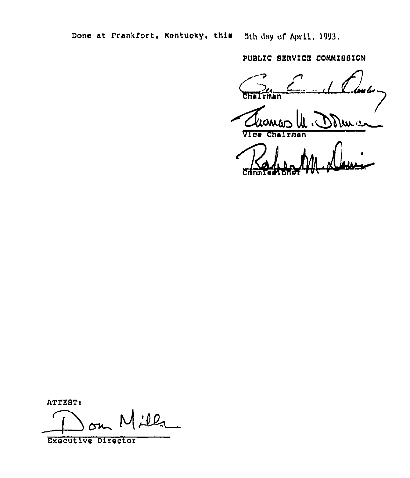Done at Frankfort, Nentucky, this 5th day of April, 1993.

PUBLIC SERVICE COMMISSION

Chat rman

dura

 $r$ man Vice Cha

ATTEST:

 $Ll$ 

**Executive Director**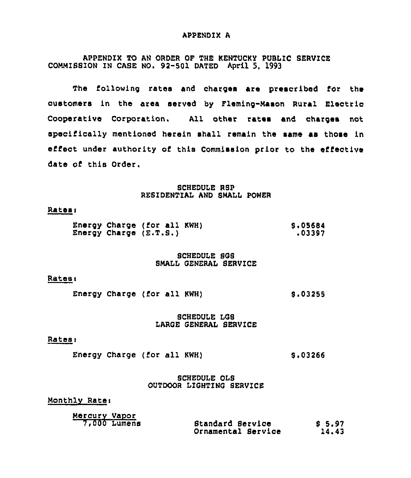#### APPENDIX A

APPENDIX TO AN ORDER OF THE KENTUCKY PUBLIC SERVICE COMMIBBION IN CASE NO. 92-50l DATED April 5, l993

The following rates and charges are prescribed for the customers in the area served by Fleming-Mason Rural Electric Cooperative Corporation. All other rates and charges not specifically mentioned herein shall remain the same as those in effect under authority of this Commission prior to the effective date of this Order.

#### SCHEDULE RSP RESIDENTIAL AND SMALL POWER

#### **Rates:**

|  | Energy Charge (for all KWH) | <b>S.05684</b> |
|--|-----------------------------|----------------|
|  | Energy Charge (E.T.S.)      | .03397         |

#### SCHEDULE SGB BMALL GENERAL SERVICE

#### Rates:

Energy Charge (for all KWH)  $$3.03255$ 

#### SCHEDULE LGB LARGE GENERAL SERVICE

#### Rates:

Energy Charge (for all KWH) 8.03266

SCHEDULE OLS OUTDOOR LIGHTING SERVICE

Monthly Ratei

| Mercury Vapor |                    |         |
|---------------|--------------------|---------|
| 7,000 Lumens  | Standard Service   | \$ 5.97 |
|               | Ornamental Service | 14.43   |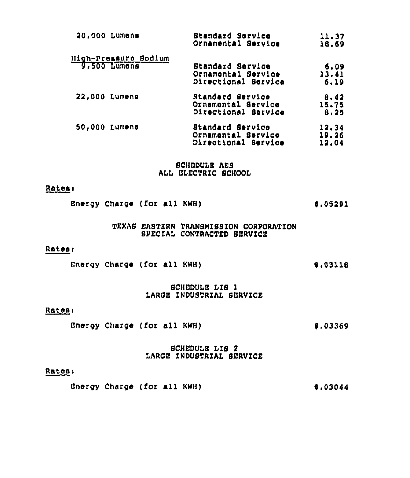| 20,000 Lumens                        | <b>Btandard Bervice</b><br>Ornamental Service                 | 11.37<br>18.69          |
|--------------------------------------|---------------------------------------------------------------|-------------------------|
|                                      |                                                               |                         |
| High-Pressure Sodium<br>9,500 Lumens | Standard Service<br>Ornamental Service<br>Directional Service | 6.09<br>13,41<br>6.19   |
| 22,000 Lumens                        | Standard Service<br>Ornamental Service<br>Directional Service | 8.42<br>15.75<br>8.25   |
| 50,000 Lumens                        | Standard Service<br>Ornamental Service<br>Directional Service | 12.34<br>19,26<br>12,04 |

**SCHEDULE AES** ALL ELECTRIC SCHOOL

#### Rates:

|  | Energy Charge (for all KWH) | \$.05291 |
|--|-----------------------------|----------|
|  |                             |          |

## TEXAS EASTERN TRANSMISSION CORPORATION SPECIAL CONTRACTED SERVICE

#### Rates:

Energy Charge (for all KWH)  $$.03118$ 

## SCHEDULE LIS 1 LARGE INDUSTRIAL SERVICE

## Rates:

Energy Charge (for all KWH) \$,03369

#### **SCHEDULE LIS 2** LARGE INDUSTRIAL SERVICE

## Rates:

Energy Charge (for all KWH) \$.03044